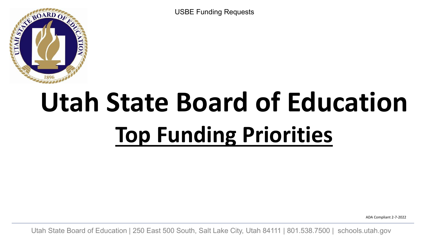USBE Funding Requests



# **Utah State Board of Education Top Funding Priorities**

ADA Compliant 2-7-2022

Utah State Board of Education | 250 East 500 South, Salt Lake City, Utah 84111 | 801.538.7500 | [schools.utah.gov](https://schools.utah.gov)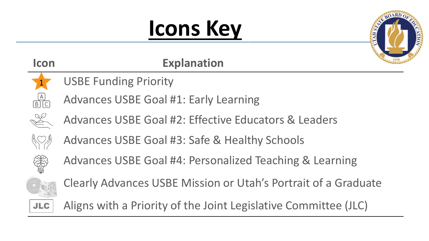# **Icons Key**



| <b>Icon</b>                                                                                                                                                                                                                                                                                                                                                                                                                                                                                                                                      | <b>Explanation</b>                                              |
|--------------------------------------------------------------------------------------------------------------------------------------------------------------------------------------------------------------------------------------------------------------------------------------------------------------------------------------------------------------------------------------------------------------------------------------------------------------------------------------------------------------------------------------------------|-----------------------------------------------------------------|
| $\sqrt{1}$                                                                                                                                                                                                                                                                                                                                                                                                                                                                                                                                       | <b>USBE Funding Priority</b>                                    |
| $\begin{array}{c} [A] \\ \hline \text{B} \end{array}$                                                                                                                                                                                                                                                                                                                                                                                                                                                                                            | <b>Advances USBE Goal #1: Early Learning</b>                    |
| $\frac{8}{\sqrt{2}}$                                                                                                                                                                                                                                                                                                                                                                                                                                                                                                                             | Advances USBE Goal #2: Effective Educators & Leaders            |
| $\left\langle \!\! \left\langle \right. \! \left\langle \right. \! \left. \right\rangle \! \! \left. \right\rangle \! \! \left. \! \left. \right\rangle \! \! \left. \right\rangle \! \! \! \left. \! \left. \right\rangle \! \! \left. \right\rangle \! \! \! \left. \! \left. \! \left. \right\rangle \! \left. \right\rangle \! \! \left. \right\rangle \! \! \left. \! \left. \right\rangle \! \! \left. \right\rangle \! \! \left. \! \left. \right\rangle \! \! \left. \right\rangle \! \! \! \left. \right\rangle \! \! \! \left. \right$ | Advances USBE Goal #3: Safe & Healthy Schools                   |
| COR<br>CORP                                                                                                                                                                                                                                                                                                                                                                                                                                                                                                                                      | Advances USBE Goal #4: Personalized Teaching & Learning         |
| Pient <b>O</b>                                                                                                                                                                                                                                                                                                                                                                                                                                                                                                                                   | Clearly Advances USBE Mission or Utah's Portrait of a Graduate  |
| <b>JLC</b>                                                                                                                                                                                                                                                                                                                                                                                                                                                                                                                                       | Aligns with a Priority of the Joint Legislative Committee (JLC) |
|                                                                                                                                                                                                                                                                                                                                                                                                                                                                                                                                                  |                                                                 |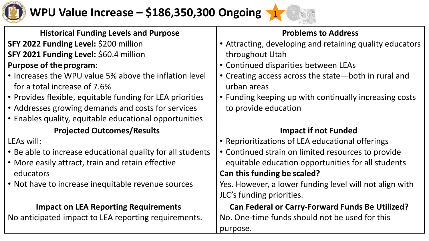

### \* **WPU Value Increase – \$186,350,300 Ongoing** <sup>1</sup>



| <b>Historical Funding Levels and Purpose</b>               | <b>Problems to Address</b>                               |
|------------------------------------------------------------|----------------------------------------------------------|
| SFY 2022 Funding Level: \$200 million                      | • Attracting, developing and retaining quality educators |
| SFY 2021 Funding Level: \$60.4 million                     | throughout Utah                                          |
| <b>Purpose of the program:</b>                             | • Continued disparities between LEAs                     |
| • Increases the WPU value 5% above the inflation level     | • Creating access across the state—both in rural and     |
| for a total increase of 7.6%                               | urban areas                                              |
| • Provides flexible, equitable funding for LEA priorities  | • Funding keeping up with continually increasing costs   |
| • Addresses growing demands and costs for services         | to provide education                                     |
| • Enables quality, equitable educational opportunities     |                                                          |
| <b>Projected Outcomes/Results</b>                          | <b>Impact if not Funded</b>                              |
| LEAs will:                                                 | • Reprioritizations of LEA educational offerings         |
| • Be able to increase educational quality for all students | • Continued strain on limited resources to provide       |
| • More easily attract, train and retain effective          | equitable education opportunities for all students       |
| educators                                                  | Can this funding be scaled?                              |
| • Not have to increase inequitable revenue sources         | Yes. However, a lower funding level will not align with  |
|                                                            | JLC's funding priorities.                                |
| <b>Impact on LEA Reporting Requirements</b>                | <b>Can Federal or Carry-Forward Funds Be Utilized?</b>   |
| No anticipated impact to LEA reporting requirements.       | No. One-time funds should not be used for this           |
|                                                            | purpose.                                                 |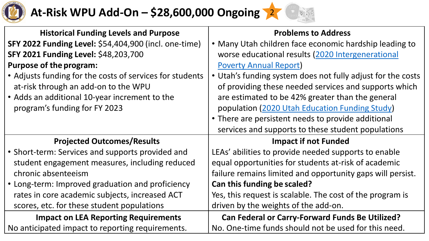

### \* p **At-Risk WPU Add-On – \$28,600,000 Ongoing** <sup>2</sup>

| <b>Historical Funding Levels and Purpose</b>             | <b>Problems to Address</b>                                  |
|----------------------------------------------------------|-------------------------------------------------------------|
| SFY 2022 Funding Level: \$54,404,900 (incl. one-time)    | • Many Utah children face economic hardship leading to      |
| SFY 2021 Funding Level: \$48,203,700                     | worse educational results (2020 Intergenerational           |
| <b>Purpose of the program:</b>                           | <b>Poverty Annual Report)</b>                               |
| • Adjusts funding for the costs of services for students | • Utah's funding system does not fully adjust for the costs |
| at-risk through an add-on to the WPU                     | of providing these needed services and supports which       |
| • Adds an additional 10-year increment to the            | are estimated to be 42% greater than the general            |
| program's funding for FY 2023                            | population (2020 Utah Education Funding Study)              |
|                                                          | • There are persistent needs to provide additional          |
|                                                          | services and supports to these student populations          |
| <b>Projected Outcomes/Results</b>                        | <b>Impact if not Funded</b>                                 |
| • Short-term: Services and supports provided and         | LEAs' abilities to provide needed supports to enable        |
| student engagement measures, including reduced           | equal opportunities for students at-risk of academic        |
| chronic absenteeism                                      | failure remains limited and opportunity gaps will persist.  |
| • Long-term: Improved graduation and proficiency         | Can this funding be scaled?                                 |
| rates in core academic subjects, increased ACT           | Yes, this request is scalable. The cost of the program is   |
| scores, etc. for these student populations               | driven by the weights of the add-on.                        |
| <b>Impact on LEA Reporting Requirements</b>              | <b>Can Federal or Carry-Forward Funds Be Utilized?</b>      |
| No anticipated impact to reporting requirements.         | No. One-time funds should not be used for this need.        |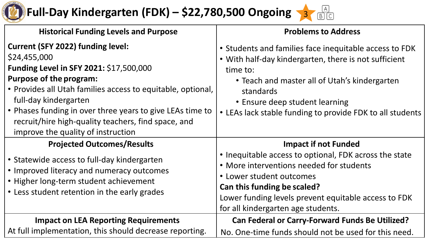

## **Full-Day Kindergarten (FDK) – \$22,780,500 Ongoing**

| <b>Historical Funding Levels and Purpose</b>                                                                                                                                                                                                                                                                                                                                            | <b>Problems to Address</b>                                                                                                                                                                                                                                                               |
|-----------------------------------------------------------------------------------------------------------------------------------------------------------------------------------------------------------------------------------------------------------------------------------------------------------------------------------------------------------------------------------------|------------------------------------------------------------------------------------------------------------------------------------------------------------------------------------------------------------------------------------------------------------------------------------------|
| <b>Current (SFY 2022) funding level:</b><br>\$24,455,000<br>Funding Level in SFY 2021: \$17,500,000<br><b>Purpose of the program:</b><br>• Provides all Utah families access to equitable, optional,<br>full-day kindergarten<br>• Phases funding in over three years to give LEAs time to<br>recruit/hire high-quality teachers, find space, and<br>improve the quality of instruction | • Students and families face inequitable access to FDK<br>• With half-day kindergarten, there is not sufficient<br>time to:<br>• Teach and master all of Utah's kindergarten<br>standards<br>• Ensure deep student learning<br>• LEAs lack stable funding to provide FDK to all students |
| <b>Projected Outcomes/Results</b><br>• Statewide access to full-day kindergarten<br>• Improved literacy and numeracy outcomes<br>• Higher long-term student achievement<br>• Less student retention in the early grades                                                                                                                                                                 | <b>Impact if not Funded</b><br>• Inequitable access to optional, FDK across the state<br>• More interventions needed for students<br>• Lower student outcomes<br>Can this funding be scaled?                                                                                             |
|                                                                                                                                                                                                                                                                                                                                                                                         | Lower funding levels prevent equitable access to FDK<br>for all kindergarten age students.                                                                                                                                                                                               |
| <b>Impact on LEA Reporting Requirements</b><br>At full implementation, this should decrease reporting.                                                                                                                                                                                                                                                                                  | <b>Can Federal or Carry-Forward Funds Be Utilized?</b><br>No. One-time funds should not be used for this need.                                                                                                                                                                           |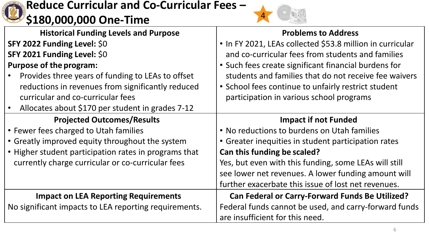

### **Reduce Curricular and Co-Curricular Fees – \$180,000,000 One-Time** <sup>4</sup>



| <b>Historical Funding Levels and Purpose</b>          | <b>Problems to Address</b>                                |
|-------------------------------------------------------|-----------------------------------------------------------|
| SFY 2022 Funding Level: \$0                           | • In FY 2021, LEAs collected \$53.8 million in curricular |
| SFY 2021 Funding Level: \$0                           | and co-curricular fees from students and families         |
| <b>Purpose of the program:</b>                        | • Such fees create significant financial burdens for      |
| Provides three years of funding to LEAs to offset     | students and families that do not receive fee waivers     |
| reductions in revenues from significantly reduced     | • School fees continue to unfairly restrict student       |
| curricular and co-curricular fees                     | participation in various school programs                  |
| Allocates about \$170 per student in grades 7-12      |                                                           |
| <b>Projected Outcomes/Results</b>                     | <b>Impact if not Funded</b>                               |
| • Fewer fees charged to Utah families                 | • No reductions to burdens on Utah families               |
| • Greatly improved equity throughout the system       | • Greater inequities in student participation rates       |
| • Higher student participation rates in programs that | Can this funding be scaled?                               |
| currently charge curricular or co-curricular fees     | Yes, but even with this funding, some LEAs will still     |
|                                                       | see lower net revenues. A lower funding amount will       |
|                                                       | further exacerbate this issue of lost net revenues.       |
| <b>Impact on LEA Reporting Requirements</b>           | <b>Can Federal or Carry-Forward Funds Be Utilized?</b>    |
| No significant impacts to LEA reporting requirements. | Federal funds cannot be used, and carry-forward funds     |
|                                                       | are insufficient for this need.                           |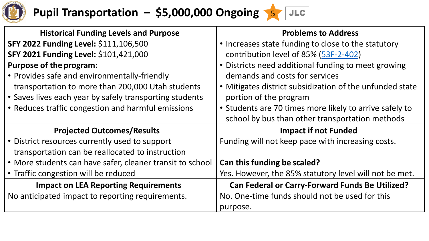

### **Pupil Transportation – \$5,000,000 Ongoing** 5 JLC

| <b>Historical Funding Levels and Purpose</b>              | <b>Problems to Address</b>                               |
|-----------------------------------------------------------|----------------------------------------------------------|
| SFY 2022 Funding Level: \$111,106,500                     | • Increases state funding to close to the statutory      |
| SFY 2021 Funding Level: \$101,421,000                     | contribution level of 85% (53F-2-402)                    |
| <b>Purpose of the program:</b>                            | • Districts need additional funding to meet growing      |
| • Provides safe and environmentally-friendly              | demands and costs for services                           |
| transportation to more than 200,000 Utah students         | • Mitigates district subsidization of the unfunded state |
| • Saves lives each year by safely transporting students   | portion of the program                                   |
| • Reduces traffic congestion and harmful emissions        | • Students are 70 times more likely to arrive safely to  |
|                                                           | school by bus than other transportation methods          |
| <b>Projected Outcomes/Results</b>                         | <b>Impact if not Funded</b>                              |
| • District resources currently used to support            | Funding will not keep pace with increasing costs.        |
| transportation can be reallocated to instruction          |                                                          |
| • More students can have safer, cleaner transit to school | Can this funding be scaled?                              |
| • Traffic congestion will be reduced                      | Yes. However, the 85% statutory level will not be met.   |
| <b>Impact on LEA Reporting Requirements</b>               | <b>Can Federal or Carry-Forward Funds Be Utilized?</b>   |
| No anticipated impact to reporting requirements.          | No. One-time funds should not be used for this           |
|                                                           | purpose.                                                 |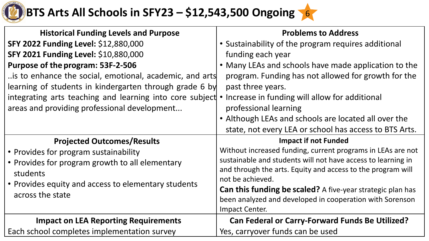# **BTS Arts All Schools in SFY23 – \$12,543,500 Ongoing 6**

| <b>Historical Funding Levels and Purpose</b>                       | <b>Problems to Address</b>                                        |
|--------------------------------------------------------------------|-------------------------------------------------------------------|
| SFY 2022 Funding Level: \$12,880,000                               | • Sustainability of the program requires additional               |
| SFY 2021 Funding Level: \$10,880,000                               | funding each year                                                 |
| Purpose of the program: 53F-2-506                                  | • Many LEAs and schools have made application to the              |
| is to enhance the social, emotional, academic, and arts            | program. Funding has not allowed for growth for the               |
| learning of students in kindergarten through grade 6 by            | past three years.                                                 |
| integrating arts teaching and learning into core subject $\bullet$ | Increase in funding will allow for additional                     |
| areas and providing professional development                       | professional learning                                             |
|                                                                    | • Although LEAs and schools are located all over the              |
|                                                                    | state, not every LEA or school has access to BTS Arts.            |
| <b>Projected Outcomes/Results</b>                                  | <b>Impact if not Funded</b>                                       |
| • Provides for program sustainability                              | Without increased funding, current programs in LEAs are not       |
| • Provides for program growth to all elementary                    | sustainable and students will not have access to learning in      |
| students                                                           | and through the arts. Equity and access to the program will       |
| • Provides equity and access to elementary students                | not be achieved.                                                  |
| across the state                                                   | <b>Can this funding be scaled?</b> A five-year strategic plan has |
|                                                                    | been analyzed and developed in cooperation with Sorenson          |
|                                                                    | <b>Impact Center.</b>                                             |
| <b>Impact on LEA Reporting Requirements</b>                        | <b>Can Federal or Carry-Forward Funds Be Utilized?</b>            |
| Each school completes implementation survey                        | Yes, carryover funds can be used                                  |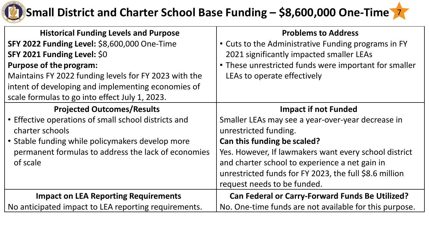

### \* **Small District and Charter School Base Funding – \$8,600,000 One-Time** <sup>7</sup>

| <b>Historical Funding Levels and Purpose</b>          | <b>Problems to Address</b>                             |
|-------------------------------------------------------|--------------------------------------------------------|
| SFY 2022 Funding Level: \$8,600,000 One-Time          | • Cuts to the Administrative Funding programs in FY    |
| SFY 2021 Funding Level: \$0                           | 2021 significantly impacted smaller LEAs               |
| <b>Purpose of the program:</b>                        | • These unrestricted funds were important for smaller  |
| Maintains FY 2022 funding levels for FY 2023 with the | LEAs to operate effectively                            |
| intent of developing and implementing economies of    |                                                        |
| scale formulas to go into effect July 1, 2023.        |                                                        |
| <b>Projected Outcomes/Results</b>                     | <b>Impact if not Funded</b>                            |
| • Effective operations of small school districts and  | Smaller LEAs may see a year-over-year decrease in      |
| charter schools                                       | unrestricted funding.                                  |
| • Stable funding while policymakers develop more      | Can this funding be scaled?                            |
| permanent formulas to address the lack of economies   | Yes. However, If lawmakers want every school district  |
| of scale                                              | and charter school to experience a net gain in         |
|                                                       | unrestricted funds for FY 2023, the full \$8.6 million |
|                                                       | request needs to be funded.                            |
| <b>Impact on LEA Reporting Requirements</b>           | <b>Can Federal or Carry-Forward Funds Be Utilized?</b> |
| No anticipated impact to LEA reporting requirements.  | No. One-time funds are not available for this purpose. |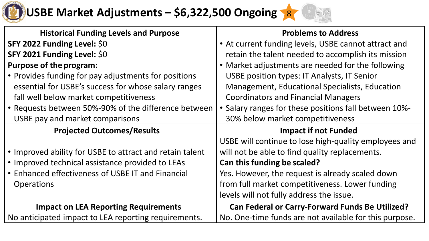# \* **USBE Market Adjustments – \$6,322,500 Ongoing** <sup>8</sup>



| <b>Historical Funding Levels and Purpose</b>             | <b>Problems to Address</b>                             |
|----------------------------------------------------------|--------------------------------------------------------|
| SFY 2022 Funding Level: \$0                              | • At current funding levels, USBE cannot attract and   |
| SFY 2021 Funding Level: \$0                              | retain the talent needed to accomplish its mission     |
| <b>Purpose of the program:</b>                           | • Market adjustments are needed for the following      |
| • Provides funding for pay adjustments for positions     | USBE position types: IT Analysts, IT Senior            |
| essential for USBE's success for whose salary ranges     | <b>Management, Educational Specialists, Education</b>  |
| fall well below market competitiveness                   | <b>Coordinators and Financial Managers</b>             |
| • Requests between 50%-90% of the difference between     | • Salary ranges for these positions fall between 10%-  |
| USBE pay and market comparisons                          | 30% below market competitiveness                       |
| <b>Projected Outcomes/Results</b>                        | <b>Impact if not Funded</b>                            |
|                                                          |                                                        |
|                                                          | USBE will continue to lose high-quality employees and  |
| • Improved ability for USBE to attract and retain talent | will not be able to find quality replacements.         |
| • Improved technical assistance provided to LEAs         | <b>Can this funding be scaled?</b>                     |
| • Enhanced effectiveness of USBE IT and Financial        | Yes. However, the request is already scaled down       |
| <b>Operations</b>                                        | from full market competitiveness. Lower funding        |
|                                                          | levels will not fully address the issue.               |
| <b>Impact on LEA Reporting Requirements</b>              | <b>Can Federal or Carry-Forward Funds Be Utilized?</b> |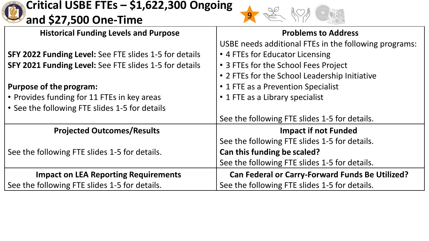#### **Critical USBE FTEs – \$1,622,300 Ongoing and \$27,500 One-Time** <sup>9</sup> **Historical Funding Levels and Purpose SFY 2022 Funding Level:** See FTE slides 1-5 for details **SFY 2021 Funding Level:** See FTE slides 1-5 for details **Purpose of the program:**  • Provides funding for 11 FTEs in key areas • See the following FTE slides 1-5 for details **Problems to Address**  USBE needs additional FTEs in the following programs: • 4 FTEs for Educator Licensing • 3 FTEs for the School Fees Project • 2 FTEs for the School Leadership Initiative • 1 FTE as a Prevention Specialist • 1 FTE as a Library specialist See the following FTE slides 1-5 for details. **Projected Outcomes/Results**  See the following FTE slides 1-5 for details. **Impact if not Funded**  See the following FTE slides 1-5 for details. **Can this funding be scaled?**  See the following FTE slides 1-5 for details. **Impact on LEA Reporting Requirements**  See the following FTE slides 1-5 for details. **Can Federal or Carry-Forward Funds Be Utilized?**  See the following FTE slides 1-5 for details.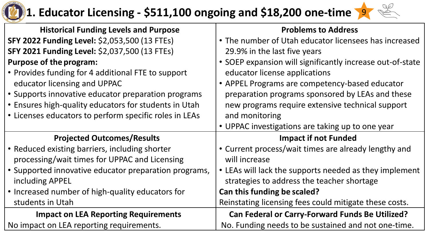

### **1. Educator Licensing - \$511,100 ongoing and \$18,200 one-time**  9



| <b>Historical Funding Levels and Purpose</b>           | <b>Problems to Address</b>                                |
|--------------------------------------------------------|-----------------------------------------------------------|
| SFY 2022 Funding Level: \$2,053,500 (13 FTEs)          | • The number of Utah educator licensees has increased     |
| <b>SFY 2021 Funding Level: \$2,037,500 (13 FTEs)</b>   | 29.9% in the last five years                              |
| <b>Purpose of the program:</b>                         | • SOEP expansion will significantly increase out-of-state |
| • Provides funding for 4 additional FTE to support     | educator license applications                             |
| educator licensing and UPPAC                           | • APPEL Programs are competency-based educator            |
| • Supports innovative educator preparation programs    | preparation programs sponsored by LEAs and these          |
| • Ensures high-quality educators for students in Utah  | new programs require extensive technical support          |
| • Licenses educators to perform specific roles in LEAs | and monitoring                                            |
|                                                        | • UPPAC investigations are taking up to one year          |
| <b>Projected Outcomes/Results</b>                      | <b>Impact if not Funded</b>                               |
| • Reduced existing barriers, including shorter         | • Current process/wait times are already lengthy and      |
| processing/wait times for UPPAC and Licensing          | will increase                                             |
| · Supported innovative educator preparation programs,  | • LEAs will lack the supports needed as they implement    |
| including APPEL                                        | strategies to address the teacher shortage                |
| • Increased number of high-quality educators for       | Can this funding be scaled?                               |
| students in Utah                                       | Reinstating licensing fees could mitigate these costs.    |
| <b>Impact on LEA Reporting Requirements</b>            | <b>Can Federal or Carry-Forward Funds Be Utilized?</b>    |
| No impact on LEA reporting requirements.               | No. Funding needs to be sustained and not one-time.       |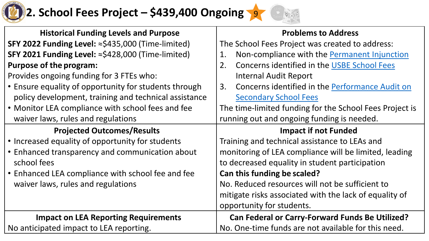

## **12. School Fees Project – \$439,400 Ongoing 197 1989**



| <b>Historical Funding Levels and Purpose</b>          | <b>Problems to Address</b>                              |
|-------------------------------------------------------|---------------------------------------------------------|
| SFY 2022 Funding Level: ≈\$435,000 (Time-limited)     | The School Fees Project was created to address:         |
| SFY 2021 Funding Level: ≈\$428,000 (Time-limited)     | Non-compliance with the Permanent Injunction<br>1.      |
| <b>Purpose of the program:</b>                        | Concerns identified in the USBE School Fees<br>2.       |
| Provides ongoing funding for 3 FTEs who:              | <b>Internal Audit Report</b>                            |
| • Ensure equality of opportunity for students through | Concerns identified in the Performance Audit on<br>3.   |
| policy development, training and technical assistance | <b>Secondary School Fees</b>                            |
| • Monitor LEA compliance with school fees and fee     | The time-limited funding for the School Fees Project is |
| waiver laws, rules and regulations                    | running out and ongoing funding is needed.              |
| <b>Projected Outcomes/Results</b>                     | <b>Impact if not Funded</b>                             |
| • Increased equality of opportunity for students      | Training and technical assistance to LEAs and           |
| • Enhanced transparency and communication about       | monitoring of LEA compliance will be limited, leading   |
| school fees                                           | to decreased equality in student participation          |
| • Enhanced LEA compliance with school fee and fee     | Can this funding be scaled?                             |
| waiver laws, rules and regulations                    | No. Reduced resources will not be sufficient to         |
|                                                       | mitigate risks associated with the lack of equality of  |
|                                                       | opportunity for students.                               |
| <b>Impact on LEA Reporting Requirements</b>           | <b>Can Federal or Carry-Forward Funds Be Utilized?</b>  |
| No anticipated impact to LEA reporting.               | No. One-time funds are not available for this need.     |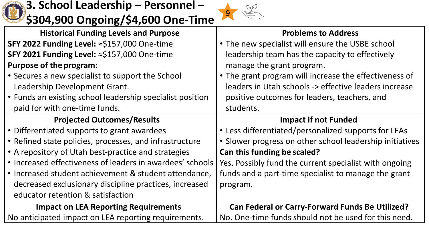

### **3. School Leadership – Personnel – \$304,900 Ongoing/\$4,600 One-Time** <sup>9</sup>



| <b>Historical Funding Levels and Purpose</b>              | <b>Problems to Address</b>                               |
|-----------------------------------------------------------|----------------------------------------------------------|
| SFY 2022 Funding Level: ≈\$157,000 One-time               | • The new specialist will ensure the USBE school         |
| SFY 2021 Funding Level: ≈\$157,000 One-time               | leadership team has the capacity to effectively          |
| <b>Purpose of the program:</b>                            | manage the grant program.                                |
| • Secures a new specialist to support the School          | • The grant program will increase the effectiveness of   |
| Leadership Development Grant.                             | leaders in Utah schools -> effective leaders increase    |
| • Funds an existing school leadership specialist position | positive outcomes for leaders, teachers, and             |
| paid for with one-time funds.                             | students.                                                |
| <b>Projected Outcomes/Results</b>                         | <b>Impact if not Funded</b>                              |
| • Differentiated supports to grant awardees               | • Less differentiated/personalized supports for LEAs     |
|                                                           |                                                          |
| • Refined state policies, processes, and infrastructure   | • Slower progress on other school leadership initiatives |
| • A repository of Utah best-practice and strategies       | Can this funding be scaled?                              |
| • Increased effectiveness of leaders in awardees' schools | Yes. Possibly fund the current specialist with ongoing   |
| • Increased student achievement & student attendance,     | funds and a part-time specialist to manage the grant     |
| decreased exclusionary discipline practices, increased    | program.                                                 |
| educator retention & satisfaction                         |                                                          |
| <b>Impact on LEA Reporting Requirements</b>               | <b>Can Federal or Carry-Forward Funds Be Utilized?</b>   |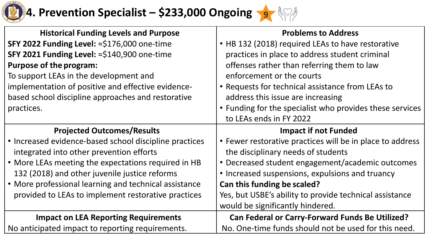

# **4. Prevention Specialist – \$233,000 Ongoing**

| <b>Historical Funding Levels and Purpose</b>           | <b>Problems to Address</b>                                |
|--------------------------------------------------------|-----------------------------------------------------------|
| SFY 2022 Funding Level: ≈\$176,000 one-time            | • HB 132 (2018) required LEAs to have restorative         |
| SFY 2021 Funding Level: ≈\$140,900 one-time            | practices in place to address student criminal            |
| <b>Purpose of the program:</b>                         | offenses rather than referring them to law                |
| To support LEAs in the development and                 | enforcement or the courts                                 |
| implementation of positive and effective evidence-     | • Requests for technical assistance from LEAs to          |
| based school discipline approaches and restorative     | address this issue are increasing                         |
| practices.                                             | • Funding for the specialist who provides these services  |
|                                                        | to LEAs ends in FY 2022                                   |
| <b>Projected Outcomes/Results</b>                      | <b>Impact if not Funded</b>                               |
| • Increased evidence-based school discipline practices | • Fewer restorative practices will be in place to address |
| integrated into other prevention efforts               | the disciplinary needs of students                        |
| • More LEAs meeting the expectations required in HB    | • Decreased student engagement/academic outcomes          |
| 132 (2018) and other juvenile justice reforms          | • Increased suspensions, expulsions and truancy           |
| • More professional learning and technical assistance  | Can this funding be scaled?                               |
| provided to LEAs to implement restorative practices    | Yes, but USBE's ability to provide technical assistance   |
|                                                        | would be significantly hindered.                          |
| <b>Impact on LEA Reporting Requirements</b>            | <b>Can Federal or Carry-Forward Funds Be Utilized?</b>    |
| No anticipated impact to reporting requirements.       | No. One-time funds should not be used for this need.      |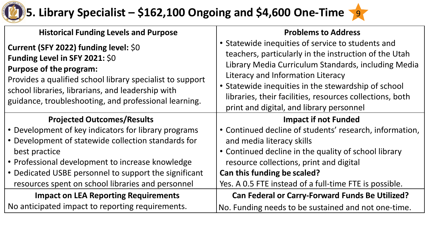### \* **5. Library Specialist – \$162,100 Ongoing and \$4,600 One-Time** <sup>9</sup>

| <b>Historical Funding Levels and Purpose</b>                                                                                                                                                                                                                                         | <b>Problems to Address</b>                                                                                                                                                                                                                                                                                                                                            |
|--------------------------------------------------------------------------------------------------------------------------------------------------------------------------------------------------------------------------------------------------------------------------------------|-----------------------------------------------------------------------------------------------------------------------------------------------------------------------------------------------------------------------------------------------------------------------------------------------------------------------------------------------------------------------|
| Current (SFY 2022) funding level: \$0<br>Funding Level in SFY 2021: \$0<br><b>Purpose of the program:</b><br>Provides a qualified school library specialist to support<br>school libraries, librarians, and leadership with<br>guidance, troubleshooting, and professional learning. | • Statewide inequities of service to students and<br>teachers, particularly in the instruction of the Utah<br>Library Media Curriculum Standards, including Media<br>Literacy and Information Literacy<br>• Statewide inequities in the stewardship of school<br>libraries, their facilities, resources collections, both<br>print and digital, and library personnel |
| <b>Projected Outcomes/Results</b>                                                                                                                                                                                                                                                    | <b>Impact if not Funded</b>                                                                                                                                                                                                                                                                                                                                           |
| • Development of key indicators for library programs                                                                                                                                                                                                                                 | • Continued decline of students' research, information,                                                                                                                                                                                                                                                                                                               |
| • Development of statewide collection standards for                                                                                                                                                                                                                                  | and media literacy skills                                                                                                                                                                                                                                                                                                                                             |
| best practice                                                                                                                                                                                                                                                                        | • Continued decline in the quality of school library                                                                                                                                                                                                                                                                                                                  |
| • Professional development to increase knowledge                                                                                                                                                                                                                                     | resource collections, print and digital                                                                                                                                                                                                                                                                                                                               |
| • Dedicated USBE personnel to support the significant                                                                                                                                                                                                                                | Can this funding be scaled?                                                                                                                                                                                                                                                                                                                                           |
| resources spent on school libraries and personnel                                                                                                                                                                                                                                    | Yes. A 0.5 FTE instead of a full-time FTE is possible.                                                                                                                                                                                                                                                                                                                |
| <b>Impact on LEA Reporting Requirements</b>                                                                                                                                                                                                                                          | <b>Can Federal or Carry-Forward Funds Be Utilized?</b>                                                                                                                                                                                                                                                                                                                |
| No anticipated impact to reporting requirements.                                                                                                                                                                                                                                     | No. Funding needs to be sustained and not one-time.                                                                                                                                                                                                                                                                                                                   |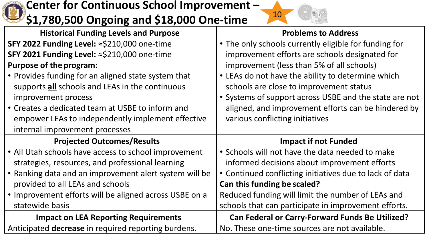#### $\overline{\mathsf{p}}$ **Center for Continuous School Improvement – \$1,780,500 Ongoing and \$18,000 One-time** <sup>10</sup> **Historical Funding Levels and Purpose SFY 2022 Funding Level:** ≈\$210,000 one-time **SFY 2021 Funding Level:** ≈\$210,000 one-time **Purpose of the program:**  • Provides funding for an aligned state system that supports **all** schools and LEAs in the continuous improvement process • Creates a dedicated team at USBE to inform and empower LEAs to independently implement effective internal improvement processes **Problems to Address**  • The only schools currently eligible for funding for improvement efforts are schools designated for improvement (less than 5% of all schools) • LEAs do not have the ability to determine which schools are close to improvement status • Systems of support across USBE and the state are not aligned, and improvement efforts can be hindered by various conflicting initiatives **Projected Outcomes/Results**  • All Utah schools have access to school improvement strategies, resources, and professional learning • Ranking data and an improvement alert system will be provided to all LEAs and schools • Improvement efforts will be aligned across USBE on a statewide basis **Impact if not Funded**  • Schools will not have the data needed to make informed decisions about improvement efforts • Continued conflicting initiatives due to lack of data **Can this funding be scaled?**  Reduced funding will limit the number of LEAs and schools that can participate in improvement efforts. **Impact on LEA Reporting Requirements**  Anticipated **decrease** in required reporting burdens. **Can Federal or Carry-Forward Funds Be Utilized?**  No. These one-time sources are not available.